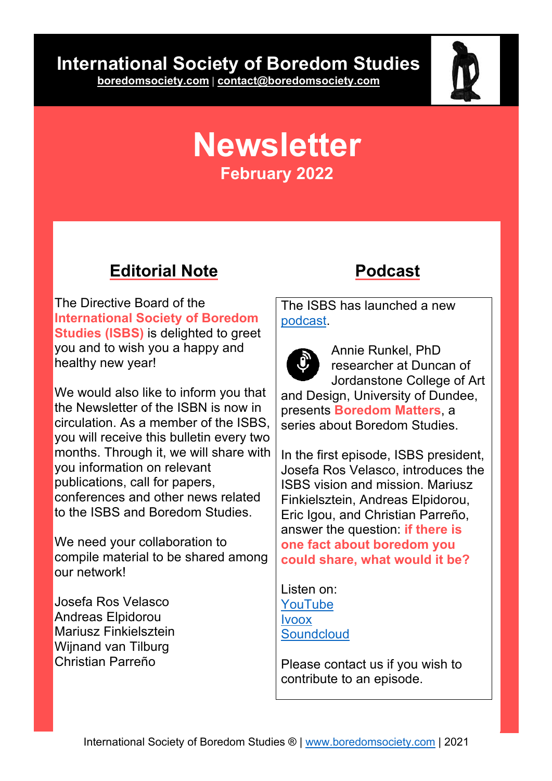# **International Society of Boredom Studies**

**boredomsociety.com | contact@boredomsociety.com**



# **Newsletter February 2022**

### **Editorial Note**

The Directive Board of the **International Society of Boredom Studies (ISBS)** is delighted to greet you and to wish you a happy and healthy new year!

We would also like to inform you that the Newsletter of the ISBN is now in circulation. As a member of the ISBS, you will receive this bulletin every two months. Through it, we will share with you information on relevant publications, call for papers, conferences and other news related to the ISBS and Boredom Studies.

We need your collaboration to compile material to be shared among our network!

Josefa Ros Velasco Andreas Elpidorou Mariusz Finkielsztein Wijnand van Tilburg Christian Parreño

### **Podcast**

The ISBS has launched a new podcast.



Annie Runkel, PhD researcher at Duncan of Jordanstone College of Art

and Design, University of Dundee, presents **Boredom Matters**, a series about Boredom Studies.

In the first episode, ISBS president, Josefa Ros Velasco, introduces the ISBS vision and mission. Mariusz Finkielsztein, Andreas Elpidorou, Eric Igou, and Christian Parreño, answer the question: **if there is one fact about boredom you could share, what would it be?**

Listen on: YouTube Ivoox **Soundcloud** 

Please contact us if you wish to contribute to an episode.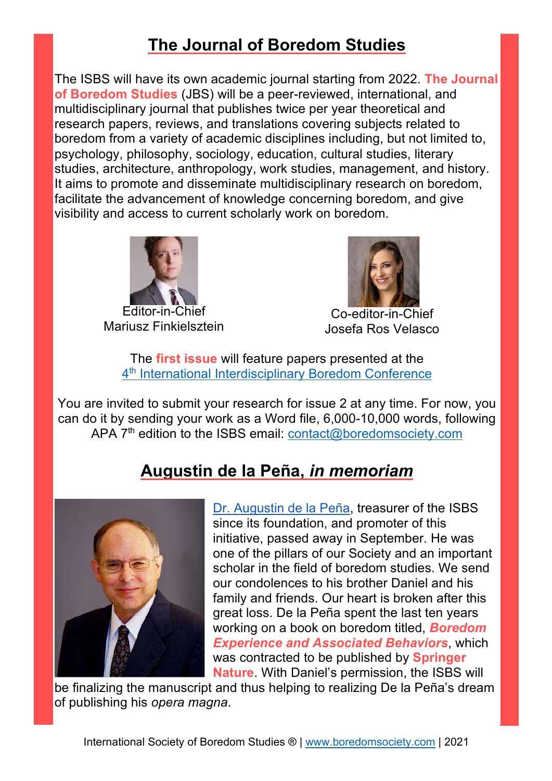# **The Journal of Boredom Studies**

The ISBS will have its own academic journal starting from 2022. **The Journal of Boredom Studies** (JBS) will be a peer-reviewed, international, and multidisciplinary journal that publishes twice per year theoretical and research papers, reviews, and translations covering subjects related to boredom from a variety of academic disciplines including, but not limited to, psychology, philosophy, sociology, education, cultural studies, literary studies, architecture, anthropology, work studies, management, and history. It aims to promote and disseminate multidisciplinary research on boredom, facilitate the advancement of knowledge concerning boredom, and give visibility and access to current scholarly work on boredom.



Editor-in-Chief Mariusz Finkielsztein



Co-editor-in-Chief Josefa Ros Velasco

The **first issue** will feature papers presented at the 4<sup>th</sup> International Interdisciplinary Boredom Conference

You are invited to submit your research for issue 2 at any time. For now, you can do it by sending your work as a Word file, 6,000-10,000 words, following APA 7<sup>th</sup> edition to the ISBS email: **contact@boredomsociety.com** 

### **Augustin de la Peña,** *in memoriam*



Dr. Augustin de la Peña, treasurer of the ISBS since its foundation, and promoter of this initiative, passed away in September. He was one of the pillars of our Society and an important scholar in the field of boredom studies. We send our condolences to his brother Daniel and his family and friends. Our heart is broken after this great loss. De la Peña spent the last ten years working on a book on boredom titled, *Boredom Experience and Associated Behaviors*, which was contracted to be published by **Springer Nature**. With Daniel's permission, the ISBS will

be finalizing the manuscript and thus helping to realizing De la Peña's dream of publishing his *opera magna*.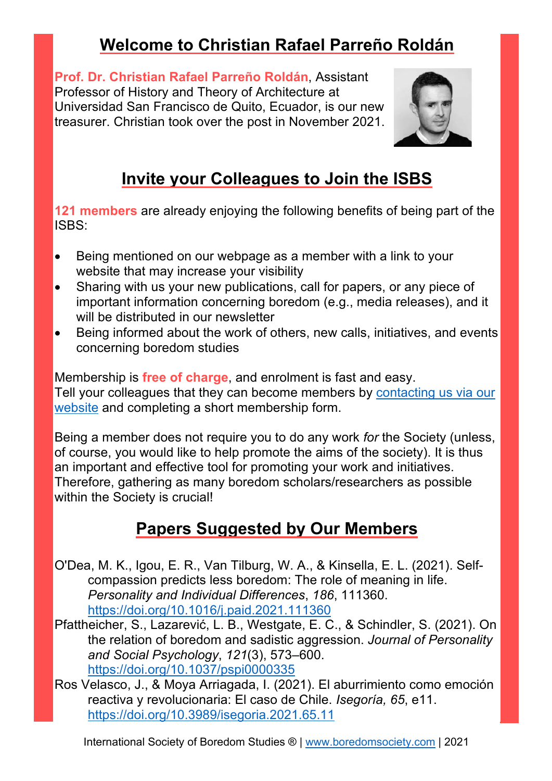# **Welcome to Christian Rafael Parreño Roldán**

**Prof. Dr. Christian Rafael Parreño Roldán**, Assistant Professor of History and Theory of Architecture at Universidad San Francisco de Quito, Ecuador, is our new treasurer. Christian took over the post in November 2021.



# **Invite your Colleagues to Join the ISBS**

**121 members** are already enjoying the following benefits of being part of the ISBS:

- Being mentioned on our webpage as a member with a link to your website that may increase your visibility
- Sharing with us your new publications, call for papers, or any piece of important information concerning boredom (e.g., media releases), and it will be distributed in our newsletter
- Being informed about the work of others, new calls, initiatives, and events concerning boredom studies

Membership is **free of charge**, and enrolment is fast and easy. Tell your colleagues that they can become members by contacting us via our website and completing a short membership form.

Being a member does not require you to do any work *for* the Society (unless, of course, you would like to help promote the aims of the society). It is thus an important and effective tool for promoting your work and initiatives. Therefore, gathering as many boredom scholars/researchers as possible within the Society is crucial!

## **Papers Suggested by Our Members**

- O'Dea, M. K., Igou, E. R., Van Tilburg, W. A., & Kinsella, E. L. (2021). Selfcompassion predicts less boredom: The role of meaning in life. *Personality and Individual Differences*, *186*, 111360. https://doi.org/10.1016/j.paid.2021.111360
- Pfattheicher, S., Lazarević, L. B., Westgate, E. C., & Schindler, S. (2021). On the relation of boredom and sadistic aggression. *Journal of Personality and Social Psychology*, *121*(3), 573–600. https://doi.org/10.1037/pspi0000335
- Ros Velasco, J., & Moya Arriagada, I. (2021). El aburrimiento como emoción reactiva y revolucionaria: El caso de Chile. *Isegoría, 65*, e11. https://doi.org/10.3989/isegoria.2021.65.11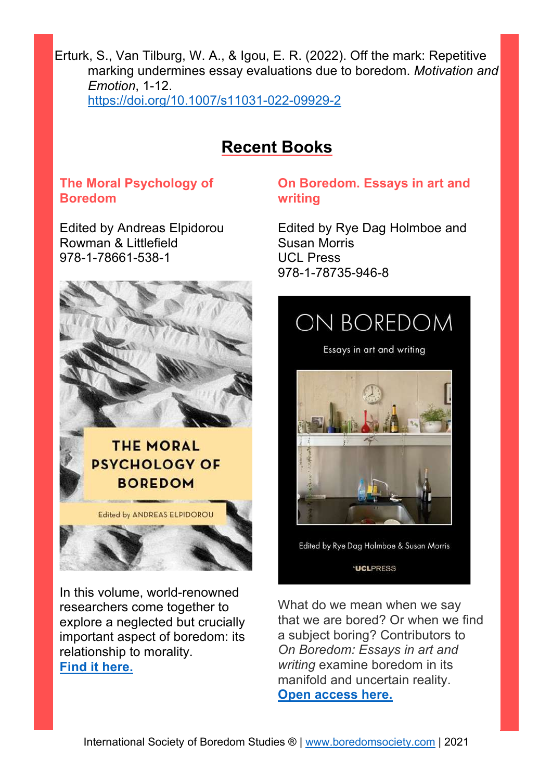Erturk, S., Van Tilburg, W. A., & Igou, E. R. (2022). Off the mark: Repetitive marking undermines essay evaluations due to boredom. *Motivation and Emotion*, 1-12. https://doi.org/10.1007/s11031-022-09929-2

### **Recent Books**

#### **The Moral Psychology of Boredom**

Edited by Andreas Elpidorou Rowman & Littlefield 978-1-78661-538-1



In this volume, world-renowned researchers come together to explore a neglected but crucially important aspect of boredom: its relationship to morality. **Find it here.**

#### **On Boredom. Essays in art and writing**

Edited by Rye Dag Holmboe and Susan Morris UCL Press 978-1-78735-946-8



**UCLPRESS** 

What do we mean when we say that we are bored? Or when we find a subject boring? Contributors to *On Boredom: Essays in art and writing* examine boredom in its manifold and uncertain reality. **Open access here.**